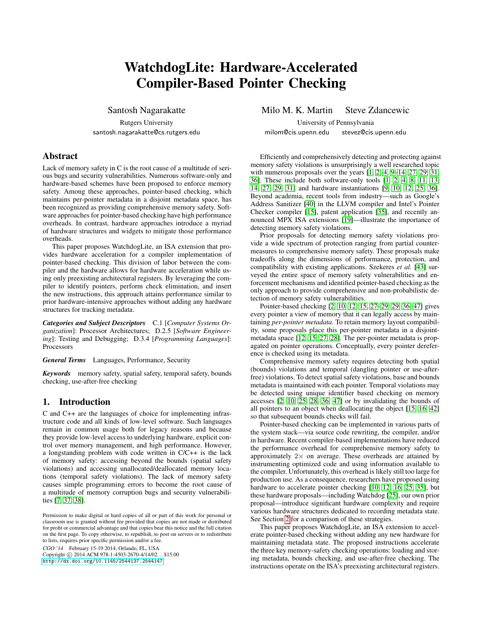# WatchdogLite: Hardware-Accelerated Compiler-Based Pointer Checking

Santosh Nagarakatte

Rutgers University santosh.nagarakatte@cs.rutgers.edu

# Abstract

Lack of memory safety in C is the root cause of a multitude of serious bugs and security vulnerabilities. Numerous software-only and hardware-based schemes have been proposed to enforce memory safety. Among these approaches, pointer-based checking, which maintains per-pointer metadata in a disjoint metadata space, has been recognized as providing comprehensive memory safety. Software approaches for pointer-based checking have high performance overheads. In contrast, hardware approaches introduce a myriad of hardware structures and widgets to mitigate those performance overheads.

This paper proposes WatchdogLite, an ISA extension that provides hardware acceleration for a compiler implementation of pointer-based checking. This division of labor between the compiler and the hardware allows for hardware acceleration while using only preexisting architectural registers. By leveraging the compiler to identify pointers, perform check elimination, and insert the new instructions, this approach attains performance similar to prior hardware-intensive approaches without adding any hardware structures for tracking metadata.

*Categories and Subject Descriptors* C.1 [*Computer Systems Organization*]: Processor Architectures; D.2.5 [*Software Engineering*]: Testing and Debugging; D.3.4 [*Programming Languages*]: Processors

*General Terms* Languages, Performance, Security

*Keywords* memory safety, spatial safety, temporal safety, bounds checking, use-after-free checking

# 1. Introduction

C and C++ are the languages of choice for implementing infrastructure code and all kinds of low-level software. Such languages remain in common usage both for legacy reasons and because they provide low-level access to underlying hardware, explicit control over memory management, and high performance. However, a longstanding problem with code written in C/C++ is the lack of memory safety: accessing beyond the bounds (spatial safety violations) and accessing unallocated/deallocated memory locations (temporal safety violations). The lack of memory safety causes simple programming errors to become the root cause of a multitude of memory corruption bugs and security vulnerabilities [\[7,](#page-8-0) [37,](#page-9-0) [38\]](#page-9-1).

CGO '14 February 15-19 2014, Orlando, FL, USA

Copyright © 2014 ACM 978-1-4503-2670-4/14/02... \$15.00 <http://dx.doi.org/10.1145/2544137.2544147>

Milo M. K. Martin Steve Zdancewic

University of Pennsylvania milom@cis.upenn.edu stevez@cis.upenn.edu

Efficiently and comprehensively detecting and protecting against memory safety violations is unsurprisingly a well researched topic with numerous proposals over the years [\[1,](#page-8-1) [2,](#page-8-2) [4,](#page-8-3) [9–](#page-8-4)[14,](#page-8-5) [27,](#page-8-6) [29,](#page-9-2) [31,](#page-9-3) [36\]](#page-9-4). These include both software-only tools [\[1,](#page-8-1) [2,](#page-8-2) [4,](#page-8-3) [8,](#page-8-7) [11,](#page-8-8) [13,](#page-8-9) [14,](#page-8-5) [27,](#page-8-6) [29,](#page-9-2) [31\]](#page-9-3) and hardware instantiations [\[9,](#page-8-4) [10,](#page-8-10) [12,](#page-8-11) [25,](#page-8-12) [36\]](#page-9-4). Beyond academia, recent tools from industry—such as Google's Address Sanitizer [\[40\]](#page-9-5) in the LLVM compiler and Intel's Pointer Checker compiler [\[15\]](#page-8-13), patent application [\[35\]](#page-9-6), and recently announced MPX ISA extensions [\[19\]](#page-8-14)—illustrate the importance of detecting memory safety violations.

Prior proposals for detecting memory safety violations provide a wide spectrum of protection ranging from partial countermeasures to comprehensive memory safety. These proposals make tradeoffs along the dimensions of performance, protection, and compatibility with existing applications. Szekeres *et al.* [\[43\]](#page-9-7) surveyed the entire space of memory safety vulnerabilities and enforcement mechanisms and identified pointer-based checking as the only approach to provide comprehensive and non-probabilistic detection of memory safety vulnerabilities.

Pointer-based checking [\[2,](#page-8-2) [10,](#page-8-10) [12,](#page-8-11) [15,](#page-8-13) [27–](#page-8-6)[29, 29,](#page-9-2) [36,](#page-9-4) [47\]](#page-9-8) gives every pointer a view of memory that it can legally access by maintaining *per-pointer metadata*. To retain memory layout compatibility, some proposals place this per-pointer metadata in a disjointmetadata space [\[12,](#page-8-11) [15,](#page-8-13) [27,](#page-8-6) [28\]](#page-9-9). The per-pointer metadata is propagated on pointer operations. Conceptually, every pointer dereference is checked using its metadata.

Comprehensive memory safety requires detecting both spatial (bounds) violations and temporal (dangling pointer or use-afterfree) violations. To detect spatial safety violations, base and bounds metadata is maintained with each pointer. Temporal violations may be detected using unique identifier based checking on memory accesses [\[2,](#page-8-2) [10,](#page-8-10) [25,](#page-8-12) [28,](#page-9-9) [36,](#page-9-4) [47\]](#page-9-8) or by invalidating the bounds of all pointers to an object when deallocating the object [\[15,](#page-8-13) [16,](#page-8-15) [42\]](#page-9-10) so that subsequent bounds checks will fail.

Pointer-based checking can be implemented in various parts of the system stack—via source code rewriting, the compiler, and/or in hardware. Recent compiler-based implementations have reduced the performance overhead for comprehensive memory safety to approximately  $2 \times$  on average. These overheads are attained by instrumenting optimized code and using information available to the compiler. Unfortunately, this overhead is likely still too large for production use. As a consequence, researchers have proposed using hardware to accelerate pointer checking [\[10,](#page-8-10) [12,](#page-8-11) [16,](#page-8-15) [25,](#page-8-12) [35\]](#page-9-6), but these hardware proposals—including Watchdog [\[25\]](#page-8-12), our own prior proposal—introduce significant hardware complexity and require various hardware structures dedicated to recording metadata state. See Section [2](#page-1-0) for a comparison of these strategies.

This paper proposes WatchdogLite, an ISA extension to accelerate pointer-based checking without adding any new hardware for maintaining metadata state. The proposed instructions accelerate the three key memory-safety checking operations: loading and storing metadata, bounds checking, and use-after-free checking. The instructions operate on the ISA's preexisting architectural registers.

Permission to make digital or hard copies of all or part of this work for personal or classroom use is granted without fee provided that copies are not made or distributed for profit or commercial advantage and that copies bear this notice and the full citation on the first page. To copy otherwise, to republish, to post on servers or to redistribute to lists, requires prior specific permission and/or a fee.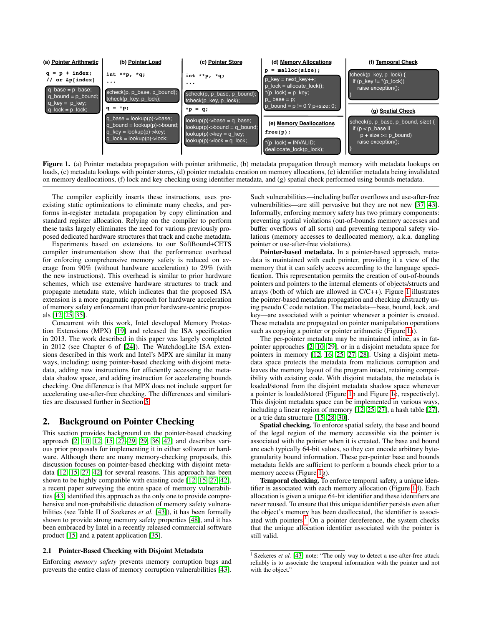

<span id="page-1-1"></span>Figure 1. (a) Pointer metadata propagation with pointer arithmetic, (b) metadata propagation through memory with metadata lookups on loads, (c) metadata lookups with pointer stores, (d) pointer metadata creation on memory allocations, (e) identifier metadata being invalidated on memory deallocations, (f) lock and key checking using identifier metadata, and (g) spatial check performed using bounds metadata.

The compiler explicitly inserts these instructions, uses preexisting static optimizations to eliminate many checks, and performs in-register metadata propagation by copy elimination and standard register allocation. Relying on the compiler to perform these tasks largely eliminates the need for various previously proposed dedicated hardware structures that track and cache metadata.

Experiments based on extensions to our SoftBound+CETS compiler instrumentation show that the performance overhead for enforcing comprehensive memory safety is reduced on average from 90% (without hardware acceleration) to 29% (with the new instructions). This overhead is similar to prior hardware schemes, which use extensive hardware structures to track and propagate metadata state, which indicates that the proposed ISA extension is a more pragmatic approach for hardware acceleration of memory safety enforcement than prior hardware-centric proposals [\[12,](#page-8-11) [25,](#page-8-12) [35\]](#page-9-6).

Concurrent with this work, Intel developed Memory Protection Extensions (MPX) [\[19\]](#page-8-14) and released the ISA specification in 2013. The work described in this paper was largely completed in 2012 (see Chapter 6 of [\[24\]](#page-8-16)). The WatchdogLite ISA extensions described in this work and Intel's MPX are similar in many ways, including: using pointer-based checking with disjoint metadata, adding new instructions for efficiently accessing the metadata shadow space, and adding instruction for accelerating bounds checking. One difference is that MPX does not include support for accelerating use-after-free checking. The differences and similarities are discussed further in Section [5.](#page-7-0)

## <span id="page-1-0"></span>2. Background on Pointer Checking

This section provides background on the pointer-based checking approach [\[2,](#page-8-2) [10,](#page-8-10) [12,](#page-8-11) [15,](#page-8-13) [27–](#page-8-6)[29, 29,](#page-9-2) [36,](#page-9-4) [47\]](#page-9-8) and describes various prior proposals for implementing it in either software or hardware. Although there are many memory-checking proposals, this discussion focuses on pointer-based checking with disjoint metadata [\[12,](#page-8-11) [15,](#page-8-13) [27,](#page-8-6) [42\]](#page-9-10) for several reasons. This approach has been shown to be highly compatible with existing code [\[12,](#page-8-11) [15,](#page-8-13) [27,](#page-8-6) [42\]](#page-9-10), a recent paper surveying the entire space of memory vulnerabilities [\[43\]](#page-9-7) identified this approach as the only one to provide comprehensive and non-probabilistic detection of memory safety vulnerabilities (see Table II of Szekeres *et al.* [\[43\]](#page-9-7)), it has been formally shown to provide strong memory safety properties [\[48\]](#page-9-11), and it has been embraced by Intel in a recently released commercial software product [\[15\]](#page-8-13) and a patent application [\[35\]](#page-9-6).

## 2.1 Pointer-Based Checking with Disjoint Metadata

Enforcing *memory safety* prevents memory corruption bugs and prevents the entire class of memory corruption vulnerabilities [\[43\]](#page-9-7).

Such vulnerabilities—including buffer overflows and use-after-free vulnerabilities—are still pervasive but they are not new [\[37,](#page-9-0) [43\]](#page-9-7). Informally, enforcing memory safety has two primary components: preventing spatial violations (out-of-bounds memory accesses and buffer overflows of all sorts) and preventing temporal safety violations (memory accesses to deallocated memory, a.k.a. dangling pointer or use-after-free violations).

Pointer-based metadata. In a pointer-based approach, metadata is maintained with each pointer, providing it a view of the memory that it can safely access according to the language specification. This representation permits the creation of out-of-bounds pointers and pointers to the internal elements of objects/structs and arrays (both of which are allowed in C/C++). Figure [1](#page-1-1) illustrates the pointer-based metadata propagation and checking abstractly using pseudo C code notation. The metadata—base, bound, lock, and key—are associated with a pointer whenever a pointer is created. These metadata are propagated on pointer manipulation operations such as copying a pointer or pointer arithmetic (Figure [1a](#page-1-1)).

The per-pointer metadata may be maintained inline, as in fatpointer approaches [\[2,](#page-8-2) [10,](#page-8-10) [29\]](#page-9-2), or in a disjoint metadata space for pointers in memory [\[12,](#page-8-11) [16,](#page-8-15) [25,](#page-8-12) [27,](#page-8-6) [28\]](#page-9-9). Using a disjoint metadata space protects the metadata from malicious corruption and leaves the memory layout of the program intact, retaining compatibility with existing code. With disjoint metadata, the metadata is loaded/stored from the disjoint metadata shadow space whenever a pointer is loaded/stored (Figure [1b](#page-1-1) and Figure [1c](#page-1-1), respectively). This disjoint metadata space can be implemented in various ways, including a linear region of memory [\[12,](#page-8-11) [25,](#page-8-12) [27\]](#page-8-6), a hash table [\[27\]](#page-8-6), or a trie data structure [\[15,](#page-8-13) [28,](#page-9-9) [30\]](#page-9-12).

Spatial checking. To enforce spatial safety, the base and bound of the legal region of the memory accessible via the pointer is associated with the pointer when it is created. The base and bound are each typically 64-bit values, so they can encode arbitrary bytegranularity bound information. These per-pointer base and bounds metadata fields are sufficient to perform a bounds check prior to a memory access (Figure [1g](#page-1-1)).

Temporal checking. To enforce temporal safety, a unique identifier is associated with each memory allocation (Figure [1d](#page-1-1)). Each allocation is given a unique 64-bit identifier and these identifiers are never reused. To ensure that this unique identifier persists even after the object's memory has been deallocated, the identifier is associated with pointers. $^{1}$  $^{1}$  $^{1}$  On a pointer dereference, the system checks that the unique allocation identifier associated with the pointer is still valid.

<span id="page-1-2"></span><sup>&</sup>lt;sup>1</sup> Szekeres *et al.* [\[43\]](#page-9-7) note: "The only way to detect a use-after-free attack reliably is to associate the temporal information with the pointer and not with the object."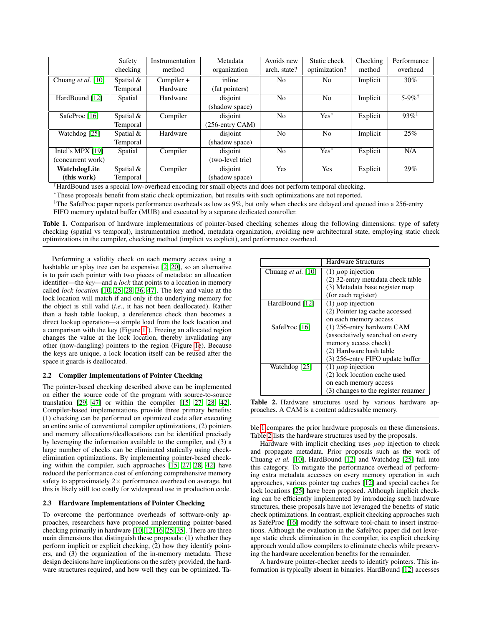|                    | Safety      | Instrumentation | Metadata           | Avoids new     | Static check   | Checking | Performance         |
|--------------------|-------------|-----------------|--------------------|----------------|----------------|----------|---------------------|
|                    | checking    | method          | organization       | arch. state?   | optimization?  | method   | overhead            |
| Chuang et al. [10] | Spatial $&$ | Compiler +      | inline             | No             | N <sub>o</sub> | Implicit | $30\%$              |
|                    | Temporal    | Hardware        | (fat pointers)     |                |                |          |                     |
| HardBound [12]     | Spatial     | Hardware        | disjoint           | No             | No             | Implicit | 5-9% <sup>†</sup>   |
|                    |             |                 | (shadow space)     |                |                |          |                     |
| SafeProc [16]      | Spatial $&$ | Compiler        | disjoint           | N <sub>0</sub> | $Yes^*$        | Explicit | $93\%$ <sup>‡</sup> |
|                    | Temporal    |                 | $(256$ -entry CAM) |                |                |          |                     |
| Watchdog [25]      | Spatial $&$ | Hardware        | disjoint           | No             | No             | Implicit | 25%                 |
|                    | Temporal    |                 | (shadow space)     |                |                |          |                     |
| Intel's MPX [19]   | Spatial     | Compiler        | disjoint           | No             | $Yes^*$        | Explicit | N/A                 |
| (concurrent work)  |             |                 | (two-level trie)   |                |                |          |                     |
| WatchdogLite       | Spatial $&$ | Compiler        | disjoint           | Yes            | Yes            | Explicit | 29%                 |
| (this work)        | Temporal    |                 | (shadow space)     |                |                |          |                     |

†HardBound uses a special low-overhead encoding for small objects and does not perform temporal checking.

<sup>∗</sup>These proposals benefit from static check optimization, but results with such optimizations are not reported.

 $\overline{p}$  The SafeProc paper reports performance overheads as low as 9%, but only when checks are delayed and queued into a 256-entry

<span id="page-2-0"></span>FIFO memory updated buffer (MUB) and executed by a separate dedicated controller.

Table 1. Comparison of hardware implementations of pointer-based checking schemes along the following dimensions: type of safety checking (spatial vs temporal), instrumentation method, metadata organization, avoiding new architectural state, employing static check optimizations in the compiler, checking method (implicit vs explicit), and performance overhead.

Performing a validity check on each memory access using a hashtable or splay tree can be expensive [\[2,](#page-8-2) [20\]](#page-8-17), so an alternative is to pair each pointer with two pieces of metadata: an allocation identifier—the *key*—and a *lock* that points to a location in memory called *lock location* [\[10,](#page-8-10) [25,](#page-8-12) [28,](#page-9-9) [36,](#page-9-4) [47\]](#page-9-8). The key and value at the lock location will match if and only if the underlying memory for the object is still valid (*i.e.*, it has not been deallocated). Rather than a hash table lookup, a dereference check then becomes a direct lookup operation—a simple load from the lock location and a comparison with the key (Figure [1f](#page-1-1)). Freeing an allocated region changes the value at the lock location, thereby invalidating any other (now-dangling) pointers to the region (Figure [1e](#page-1-1)). Because the keys are unique, a lock location itself can be reused after the space it guards is deallocated.

## 2.2 Compiler Implementations of Pointer Checking

The pointer-based checking described above can be implemented on either the source code of the program with source-to-source translation [\[29,](#page-9-2) [47\]](#page-9-8) or within the compiler [\[15,](#page-8-13) [27,](#page-8-6) [28,](#page-9-9) [42\]](#page-9-10). Compiler-based implementations provide three primary benefits: (1) checking can be performed on optimized code after executing an entire suite of conventional compiler optimizations, (2) pointers and memory allocations/deallocations can be identified precisely by leveraging the information available to the compiler, and (3) a large number of checks can be eliminated statically using checkelimination optimizations. By implementing pointer-based checking within the compiler, such approaches [\[15,](#page-8-13) [27,](#page-8-6) [28,](#page-9-9) [42\]](#page-9-10) have reduced the performance cost of enforcing comprehensive memory safety to approximately  $2 \times$  performance overhead on average, but this is likely still too costly for widespread use in production code.

## 2.3 Hardware Implementations of Pointer Checking

To overcome the performance overheads of software-only approaches, researchers have proposed implementing pointer-based checking primarily in hardware [\[10,](#page-8-10) [12,](#page-8-11) [16,](#page-8-15) [25,](#page-8-12) [35\]](#page-9-6). There are three main dimensions that distinguish these proposals: (1) whether they perform implicit or explicit checking, (2) how they identify pointers, and (3) the organization of the in-memory metadata. These design decisions have implications on the safety provided, the hardware structures required, and how well they can be optimized. Ta-

|                           | Hardware Structures                 |  |  |
|---------------------------|-------------------------------------|--|--|
| Chuang <i>et al.</i> [10] | $(1)$ $\mu$ op injection            |  |  |
|                           | (2) 32-entry metadata check table   |  |  |
|                           | (3) Metadata base register map      |  |  |
|                           | (for each register)                 |  |  |
| HardBound [12]            | $(1)$ $\mu$ op injection            |  |  |
|                           | (2) Pointer tag cache accessed      |  |  |
|                           | on each memory access               |  |  |
| SafeProc [16]             | (1) 256-entry hardware CAM          |  |  |
|                           | (associatively searched on every    |  |  |
|                           | memory access check)                |  |  |
|                           | (2) Hardware hash table             |  |  |
|                           | (3) 256-entry FIFO update buffer    |  |  |
| Watchdog [25]             | $(1)$ $\mu$ op injection            |  |  |
|                           | (2) lock location cache used        |  |  |
|                           | on each memory access               |  |  |
|                           | (3) changes to the register renamer |  |  |

<span id="page-2-1"></span>Table 2. Hardware structures used by various hardware approaches. A CAM is a content addressable memory.

ble [1](#page-2-0) compares the prior hardware proposals on these dimensions. Table [2](#page-2-1) lists the hardware structures used by the proposals.

Hardware with implicit checking uses  $\mu$ op injection to check and propagate metadata. Prior proposals such as the work of Chuang *et al.* [\[10\]](#page-8-10), HardBound [\[12\]](#page-8-11) and Watchdog [\[25\]](#page-8-12) fall into this category. To mitigate the performance overhead of performing extra metadata accesses on every memory operation in such approaches, various pointer tag caches [\[12\]](#page-8-11) and special caches for lock locations [\[25\]](#page-8-12) have been proposed. Although implicit checking can be efficiently implemented by introducing such hardware structures, these proposals have not leveraged the benefits of static check optimizations. In contrast, explicit checking approaches such as SafeProc [\[16\]](#page-8-15) modify the software tool-chain to insert instructions. Although the evaluation in the SafeProc paper did not leverage static check elimination in the compiler, its explicit checking approach would allow compilers to eliminate checks while preserving the hardware acceleration benefits for the remainder.

A hardware pointer-checker needs to identify pointers. This information is typically absent in binaries. HardBound [\[12\]](#page-8-11) accesses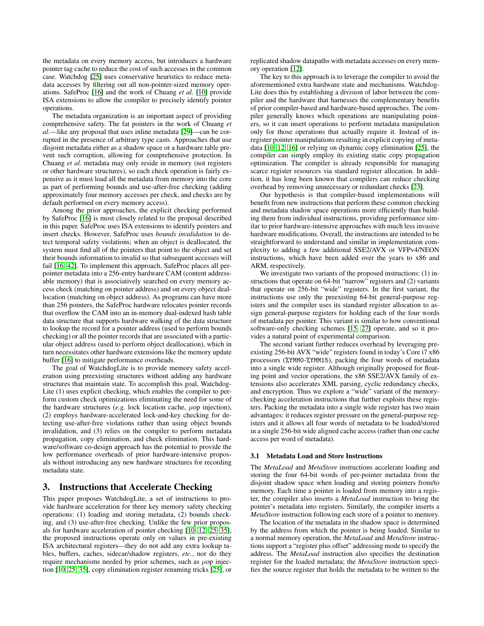the metadata on every memory access, but introduces a hardware pointer tag cache to reduce the cost of such accesses in the common case. Watchdog [\[25\]](#page-8-12) uses conservative heuristics to reduce metadata accesses by filtering out all non-pointer-sized memory operations. SafeProc [\[16\]](#page-8-15) and the work of Chuang *et al.* [\[10\]](#page-8-10) provide ISA extensions to allow the compiler to precisely identify pointer operations.

The metadata organization is an important aspect of providing comprehensive safety. The fat pointers in the work of Chuang *et al.*—like any proposal that uses inline metadata [\[29\]](#page-9-2)—can be corrupted in the presence of arbitrary type casts. Approaches that use disjoint metadata either as a shadow space or a hardware table prevent such corruption, allowing for comprehensive protection. In Chuang *et al.* metadata may only reside in memory (not registers or other hardware structures), so each check operation is fairly expensive as it must load all the metadata from memory into the core as part of performing bounds and use-after-free checking (adding approximately four memory accesses per check, and checks are by default performed on every memory access).

Among the prior approaches, the explicit checking performed by SafeProc [\[16\]](#page-8-15) is most closely related to the proposal described in this paper. SafeProc uses ISA extensions to identify pointers and insert checks. However, SafeProc uses *bounds invalidation* to detect temporal safety violations; when an object is deallocated, the system must find all of the pointers that point to the object and set their bounds information to invalid so that subsequent accesses will fail [\[16,](#page-8-15) [42\]](#page-9-10). To implement this approach, SafeProc places all perpointer metadata into a 256-entry hardware CAM (content addressable memory) that is associatively searched on every memory access check (matching on pointer address) and on every object deallocation (matching on object address). As programs can have more than 256 pointers, the SafeProc hardware relocates pointer records that overflow the CAM into an in-memory dual-indexed hash table data structure that supports hardware walking of the data structure to lookup the record for a pointer address (used to perform bounds checking) or all the pointer records that are associated with a particular object address (used to perform object deallocation), which in turn necessitates other hardware extensions like the memory update buffer [\[16\]](#page-8-15) to mitigate performance overheads.

The goal of WatchdogLite is to provide memory safety acceleration using preexisting structures without adding any hardware structures that maintain state. To accomplish this goal, Watchdog-Lite (1) uses explicit checking, which enables the compiler to perform custom check optimizations eliminating the need for some of the hardware structures  $(e.g.$  lock location cache,  $\mu$ op injection), (2) employs hardware-accelerated lock-and-key checking for detecting use-after-free violations rather than using object bounds invalidation, and (3) relies on the compiler to perform metadata propagation, copy elimination, and check elimination. This hardware/software co-design approach has the potential to provide the low performance overheads of prior hardware-intensive proposals without introducing any new hardware structures for recording metadata state.

## 3. Instructions that Accelerate Checking

This paper proposes WatchdogLite, a set of instructions to provide hardware acceleration for three key memory safety checking operations: (1) loading and storing metadata, (2) bounds checking, and (3) use-after-free checking. Unlike the few prior proposals for hardware acceleration of pointer checking [\[10,](#page-8-10) [12,](#page-8-11) [25,](#page-8-12) [35\]](#page-9-6), the proposed instructions operate only on values in pre-existing ISA architectural registers—they do not add any extra lookup tables, buffers, caches, sidecar/shadow registers, *etc.*, nor do they require mechanisms needed by prior schemes, such as  $\mu$ op injection [\[10,](#page-8-10) [25,](#page-8-12) [35\]](#page-9-6), copy elimination register renaming tricks [\[25\]](#page-8-12), or replicated shadow datapaths with metadata accesses on every memory operation [\[12\]](#page-8-11).

The key to this approach is to leverage the compiler to avoid the aforementioned extra hardware state and mechanisms. Watchdog-Lite does this by establishing a division of labor between the compiler and the hardware that harnesses the complementary benefits of prior compiler-based and hardware-based approaches. The compiler generally knows which operations are manipulating pointers, so it can insert operations to perform metadata manipulation only for those operations that actually require it. Instead of inregister pointer manipulations resulting in explicit copying of metadata [\[10,](#page-8-10) [12,](#page-8-11) [16\]](#page-8-15) or relying on dynamic copy elimination [\[25\]](#page-8-12), the compiler can simply employ its existing static copy propagation optimization. The compiler is already responsible for managing scarce register resources via standard register allocation. In addition, it has long been known that compilers can reduce checking overhead by removing unnecessary or redundant checks [\[23\]](#page-8-18).

Our hypothesis is that compiler-based implementations will benefit from new instructions that perform these common checking and metadata shadow space operations more efficiently than building them from individual instructions, providing performance similar to prior hardware-intensive approaches with much less invasive hardware modifications. Overall, the instructions are intended to be straightforward to understand and similar in implementation complexity to adding a few additional SSE2/AVX or VFPv4/NEON instructions, which have been added over the years to x86 and ARM, respectively.

We investigate two variants of the proposed instructions: (1) instructions that operate on 64-bit "narrow" registers and (2) variants that operate on 256-bit "wide" registers. In the first variant, the instructions use only the preexisting 64-bit general-purpose registers and the compiler uses its standard register allocation to assign general-purpose registers for holding each of the four words of metadata per pointer. This variant is similar to how conventional software-only checking schemes [\[15,](#page-8-13) [27\]](#page-8-6) operate, and so it provides a natural point of experimental comparison.

The second variant further reduces overhead by leveraging preexisting 256-bit AVX "wide" registers found in today's Core i7 x86 processors (%YMM0-%YMM15), packing the four words of metadata into a single wide register. Although originally proposed for floating point and vector operations, the x86 SSE2/AVX family of extensions also accelerates XML parsing, cyclic redundancy checks, and encryption. Thus we explore a "wide" variant of the memorychecking acceleration instructions that further exploits these registers. Packing the metadata into a single wide register has two main advantages: it reduces register pressure on the general-purpose registers and it allows all four words of metadata to be loaded/stored in a single 256-bit wide aligned cache access (rather than one cache access per word of metadata).

#### 3.1 Metadata Load and Store Instructions

The *MetaLoad* and *MetaStore* instructions accelerate loading and storing the four 64-bit words of per-pointer metadata from the disjoint shadow space when loading and storing pointers from/to memory. Each time a pointer is loaded from memory into a register, the compiler also inserts a *MetaLoad* instruction to bring the pointer's metadata into registers. Similarly, the compiler inserts a *MetaStore* instruction following each store of a pointer to memory.

The location of the metadata in the shadow space is determined by the address from which the pointer is being loaded. Similar to a normal memory operation, the *MetaLoad* and *MetaStore* instructions support a "register plus offset" addressing mode to specify the address. The *MetaLoad* instruction also specifies the destination register for the loaded metadata; the *MetaStore* instruction specifies the source register that holds the metadata to be written to the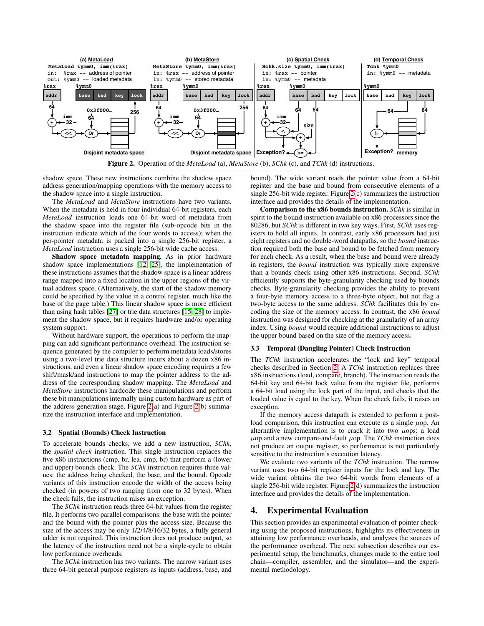

<span id="page-4-0"></span>shadow space. These new instructions combine the shadow space address generation/mapping operations with the memory access to the shadow space into a single instruction.

The *MetaLoad* and *MetaStore* instructions have two variants. When the metadata is held in four individual 64-bit registers, each *MetaLoad* instruction loads one 64-bit word of metadata from the shadow space into the register file (sub-opcode bits in the instruction indicate which of the four words to access); when the per-pointer metadata is packed into a single 256-bit register, a *MetaLoad* instruction uses a single 256-bit wide cache access.

Shadow space metadata mapping. As in prior hardware shadow space implementations [\[12,](#page-8-11) [25\]](#page-8-12), the implementation of these instructions assumes that the shadow space is a linear address range mapped into a fixed location in the upper regions of the virtual address space. (Alternatively, the start of the shadow memory could be specified by the value in a control register, much like the base of the page table.) This linear shadow space is more efficient than using hash tables [\[27\]](#page-8-6) or trie data structures [\[15,](#page-8-13) [28\]](#page-9-9) to implement the shadow space, but it requires hardware and/or operating system support.

Without hardware support, the operations to perform the mapping can add significant performance overhead. The instruction sequence generated by the compiler to perform metadata loads/stores using a two-level trie data structure incurs about a dozen x86 instructions, and even a linear shadow space encoding requires a few shift/mask/and instructions to map the pointer address to the address of the corresponding shadow mapping. The *MetaLoad* and *MetaStore* instructions hardcode these manipulations and perform these bit manipulations internally using custom hardware as part of the address generation stage. Figure [2\(](#page-4-0)a) and Figure [2\(](#page-4-0)b) summarize the instruction interface and implementation.

## 3.2 Spatial (Bounds) Check Instruction

To accelerate bounds checks, we add a new instruction, *SChk*, the *spatial check* instruction. This single instruction replaces the five x86 instructions (cmp, br, lea, cmp, br) that perform a (lower and upper) bounds check. The *SChk* instruction requires three values: the address being checked, the base, and the bound. Opcode variants of this instruction encode the width of the access being checked (in powers of two ranging from one to 32 bytes). When the check fails, the instruction raises an exception.

The *SChk* instruction reads three 64-bit values from the register file. It performs two parallel comparisons: the base with the pointer and the bound with the pointer plus the access size. Because the size of the access may be only 1/2/4/8/16/32 bytes, a fully general adder is not required. This instruction does not produce output, so the latency of the instruction need not be a single-cycle to obtain low performance overheads.

The *SChk* instruction has two variants. The narrow variant uses three 64-bit general purpose registers as inputs (address, base, and bound). The wide variant reads the pointer value from a 64-bit register and the base and bound from consecutive elements of a single 256-bit wide register. Figure [2\(](#page-4-0)c) summarizes the instruction interface and provides the details of the implementation.

Comparison to the x86 bounds instruction. *SChk* is similar in spirit to the bound instruction available on x86 processors since the 80286, but *SChk* is different in two key ways. First, *SChk* uses registers to hold all inputs. In contrast, early x86 processors had just eight registers and no double-word datapaths, so the *bound* instruction required both the base and bound to be fetched from memory for each check. As a result, when the base and bound were already in registers, the *bound* instruction was typically more expensive than a bounds check using other x86 instructions. Second, *SChk* efficiently supports the byte-granularity checking used by bounds checks. Byte-granularity checking provides the ability to prevent a four-byte memory access to a three-byte object, but not flag a two-byte access to the same address. *SChk* facilitates this by encoding the size of the memory access. In contrast, the x86 *bound* instruction was designed for checking at the granularity of an array index. Using *bound* would require additional instructions to adjust the upper bound based on the size of the memory access.

#### 3.3 Temporal (Dangling Pointer) Check Instruction

The *TChk* instruction accelerates the "lock and key" temporal checks described in Section [2.](#page-1-0) A *TChk* instruction replaces three x86 instructions (load, compare, branch). The instruction reads the 64-bit key and 64-bit lock value from the register file, performs a 64-bit load using the lock part of the input, and checks that the loaded value is equal to the key. When the check fails, it raises an exception.

If the memory access datapath is extended to perform a postload comparison, this instruction can execute as a single  $\mu$ op. An alternative implementation is to crack it into two  $\mu$ ops: a load  $\mu$ op and a new compare-and-fault  $\mu$ op. The *TChk* instruction does not produce an output register, so performance is not particularly sensitive to the instruction's execution latency.

We evaluate two variants of the *TChk* instruction. The narrow variant uses two 64-bit register inputs for the lock and key. The wide variant obtains the two 64-bit words from elements of a single 256-bit wide register. Figure [2\(](#page-4-0)d) summarizes the instruction interface and provides the details of the implementation.

## 4. Experimental Evaluation

This section provides an experimental evaluation of pointer checking using the proposed instructions, highlights its effectiveness in attaining low performance overheads, and analyzes the sources of the performance overhead. The next subsection describes our experimental setup, the benchmarks, changes made to the entire tool chain—compiler, assembler, and the simulator—and the experimental methodology.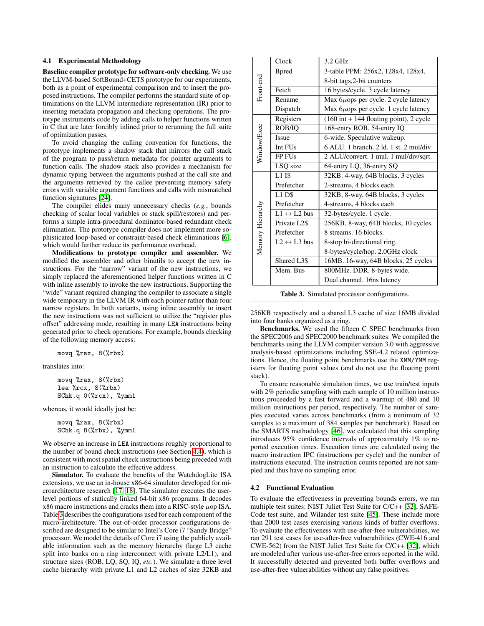#### 4.1 Experimental Methodology

Baseline compiler prototype for software-only checking. We use the LLVM-based SoftBound+CETS prototype for our experiments, both as a point of experimental comparison and to insert the proposed instructions. The compiler performs the standard suite of optimizations on the LLVM intermediate representation (IR) prior to inserting metadata propagation and checking operations. The prototype instruments code by adding calls to helper functions written in C that are later forcibly inlined prior to rerunning the full suite of optimization passes.

To avoid changing the calling convention for functions, the prototype implements a shadow stack that mirrors the call stack of the program to pass/return metadata for pointer arguments to function calls. The shadow stack also provides a mechanism for dynamic typing between the arguments pushed at the call site and the arguments retrieved by the callee preventing memory safety errors with variable argument functions and calls with mismatched function signatures [\[24\]](#page-8-16).

The compiler elides many unnecessary checks (*e.g.*, bounds checking of scalar local variables or stack spill/restores) and performs a simple intra-procedural dominator-based redundant check elimination. The prototype compiler does not implement more sophisticated loop-based or constraint-based check eliminations [\[6\]](#page-8-19), which would further reduce its performance overhead.

Modifications to prototype compiler and assembler. We modified the assembler and other binutils to accept the new instructions. For the "narrow" variant of the new instructions, we simply replaced the aforementioned helper functions written in C with inline assembly to invoke the new instructions. Supporting the "wide" variant required changing the compiler to associate a single wide temporary in the LLVM IR with each pointer rather than four narrow registers. In both variants, using inline assembly to insert the new instructions was not sufficient to utilize the "register plus offset" addressing mode, resulting in many LEA instructions being generated prior to check operations. For example, bounds checking of the following memory access:

movq %rax, 8(%rbx)

translates into:

```
movq %rax, 8(%rbx)
lea %rcx, 8(%rbx)
SChk.q 0(%rcx), %ymm1
```
whereas, it would ideally just be:

```
movq %rax, 8(%rbx)
SChk.q 8(%rbx), %ymm1
```
We observe an increase in LEA instructions roughly proportional to the number of bound check instructions (see Section [4.4\)](#page-6-0), which is consistent with most spatial check instructions being preceded with an instruction to calculate the effective address.

Simulator. To evaluate the benefits of the WatchdogLite ISA extensions, we use an in-house x86-64 simulator developed for microarchitecture research [\[17,](#page-8-20) [18\]](#page-8-21). The simulator executes the userlevel portions of statically linked 64-bit x86 programs. It decodes  $x86$  macro instructions and cracks them into a RISC-style  $\mu$ op ISA. Table [3](#page-5-0) describes the configurations used for each component of the micro-architecture. The out-of-order processor configurations described are designed to be similar to Intel's Core i7 "Sandy Bridge" processor. We model the details of Core i7 using the publicly available information such as the memory hierarchy (large L3 cache split into banks on a ring interconnect with private L2/L1), and structure sizes (ROB, LQ, SQ, IQ, *etc.*). We simulate a three level cache hierarchy with private L1 and L2 caches of size 32KB and

|                  | Clock                       | 3.2 GHz                                                    |  |  |
|------------------|-----------------------------|------------------------------------------------------------|--|--|
|                  | <b>B</b> pred               | 3-table PPM: 256x2, 128x4, 128x4,                          |  |  |
|                  |                             | 8-bit tags, 2-bit counters                                 |  |  |
| Front-end        | Fetch                       | 16 bytes/cycle. 3 cycle latency                            |  |  |
|                  | Rename                      | Max $6\mu$ ops per cycle. 2 cycle latency                  |  |  |
|                  | Dispatch                    | Max $6\mu$ ops per cycle. 1 cycle latency                  |  |  |
| Window/Exec      | Registers                   | $(160 \text{ int} + 144 \text{ floating point})$ , 2 cycle |  |  |
|                  | ROB/IQ                      | 168-entry ROB, 54-entry IQ                                 |  |  |
|                  | <b>Issue</b>                | 6-wide. Speculative wakeup.                                |  |  |
|                  | Int FUs                     | $6$ ALU. 1 branch. 2 ld. 1 st. 2 mul/div                   |  |  |
|                  | FP FUs                      | 2 ALU/convert. 1 mul. 1 mul/div/sqrt.                      |  |  |
|                  | LSQ size                    | 64-entry LQ, 36-entry SQ                                   |  |  |
| Memory Hierarchy | $L1$ IS                     | 32KB. 4-way, 64B blocks. 3 cycles                          |  |  |
|                  | Prefetcher                  | 2-streams, 4 blocks each                                   |  |  |
|                  | $L1$ DS                     | 32KB, 8-way, 64B blocks, 3 cycles                          |  |  |
|                  | Prefetcher                  | 4-streams, 4 blocks each                                   |  |  |
|                  | $L1 \leftrightarrow L2$ bus | 32-bytes/cycle. 1 cycle.                                   |  |  |
|                  | Private L <sub>2\$</sub>    | 256KB, 8-way, 64B blocks, 10 cycles.                       |  |  |
|                  | Prefetcher                  | 8 streams. 16 blocks.                                      |  |  |
|                  | $L2 \leftrightarrow L3$ bus | 8-stop bi-directional ring.                                |  |  |
|                  |                             | 8-bytes/cycle/hop. 2.0GHz clock                            |  |  |
|                  | Shared L3\$                 | 16MB. 16-way, 64B blocks, 25 cycles                        |  |  |
|                  | Mem. Bus                    | 800MHz. DDR. 8-bytes wide.                                 |  |  |
|                  |                             | Dual channel. 16ns latency                                 |  |  |

<span id="page-5-0"></span>Table 3. Simulated processor configurations.

256KB respectively and a shared L3 cache of size 16MB divided into four banks organized as a ring.

Benchmarks. We used the fifteen C SPEC benchmarks from the SPEC2006 and SPEC2000 benchmark suites. We compiled the benchmarks using the LLVM compiler version 3.0 with aggressive analysis-based optimizations including SSE-4.2 related optimizations. Hence, the floating point benchmarks use the XMM/YMM registers for floating point values (and do not use the floating point stack).

To ensure reasonable simulation times, we use train/test inputs with 2% periodic sampling with each sample of 10 million instructions proceeded by a fast forward and a warmup of 480 and 10 million instructions per period, respectively. The number of samples executed varies across benchmarks (from a minimum of 32 samples to a maximum of 384 samples per benchmark). Based on the SMARTS methodology [\[46\]](#page-9-13), we calculated that this sampling introduces 95% confidence intervals of approximately 1% to reported execution times. Execution times are calculated using the macro instruction IPC (instructions per cycle) and the number of instructions executed. The instruction counts reported are not sampled and thus have no sampling error.

#### 4.2 Functional Evaluation

To evaluate the effectiveness in preventing bounds errors, we ran multiple test suites: NIST Juliet Test Suite for C/C++ [\[32\]](#page-9-14), SAFE-Code test suite, and Wilander test suite [\[45\]](#page-9-15). These include more than 2000 test cases exercising various kinds of buffer overflows. To evaluate the effectiveness with use-after-free vulnerabilities, we ran 291 test cases for use-after-free vulnerabilities (CWE-416 and CWE-562) from the NIST Juliet Test Suite for C/C++ [\[32\]](#page-9-14), which are modeled after various use-after-free errors reported in the wild. It successfully detected and prevented both buffer overflows and use-after-free vulnerabilities without any false positives.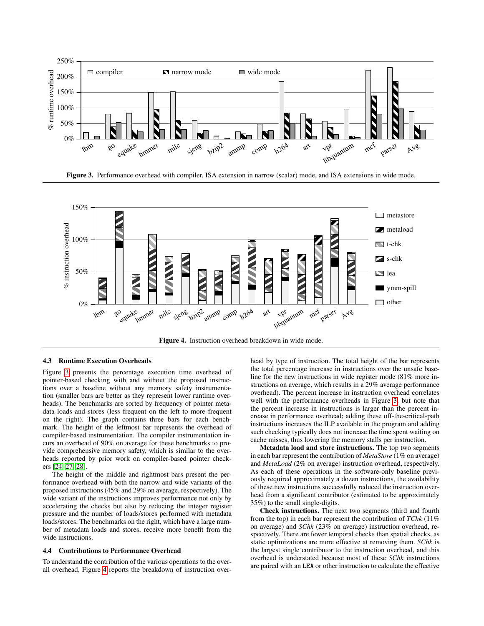

<span id="page-6-1"></span>Figure 3. Performance overhead with compiler, ISA extension in narrow (scalar) mode, and ISA extensions in wide mode.



<span id="page-6-2"></span>Figure 4. Instruction overhead breakdown in wide mode.

## 4.3 Runtime Execution Overheads

Figure [3](#page-6-1) presents the percentage execution time overhead of pointer-based checking with and without the proposed instructions over a baseline without any memory safety instrumentation (smaller bars are better as they represent lower runtime overheads). The benchmarks are sorted by frequency of pointer metadata loads and stores (less frequent on the left to more frequent on the right). The graph contains three bars for each benchmark. The height of the leftmost bar represents the overhead of compiler-based instrumentation. The compiler instrumentation incurs an overhead of 90% on average for these benchmarks to provide comprehensive memory safety, which is similar to the overheads reported by prior work on compiler-based pointer checkers [\[24,](#page-8-16) [27,](#page-8-6) [28\]](#page-9-9).

The height of the middle and rightmost bars present the performance overhead with both the narrow and wide variants of the proposed instructions (45% and 29% on average, respectively). The wide variant of the instructions improves performance not only by accelerating the checks but also by reducing the integer register pressure and the number of loads/stores performed with metadata loads/stores. The benchmarks on the right, which have a large number of metadata loads and stores, receive more benefit from the wide instructions.

#### <span id="page-6-0"></span>4.4 Contributions to Performance Overhead

To understand the contribution of the various operations to the overall overhead, Figure [4](#page-6-2) reports the breakdown of instruction overhead by type of instruction. The total height of the bar represents the total percentage increase in instructions over the unsafe baseline for the new instructions in wide register mode (81% more instructions on average, which results in a 29% average performance overhead). The percent increase in instruction overhead correlates well with the performance overheads in Figure [3,](#page-6-1) but note that the percent increase in instructions is larger than the percent increase in performance overhead; adding these off-the-critical-path instructions increases the ILP available in the program and adding such checking typically does not increase the time spent waiting on cache misses, thus lowering the memory stalls per instruction.

Metadata load and store instructions. The top two segments in each bar represent the contribution of *MetaStore* (1% on average) and *MetaLoad* (2% on average) instruction overhead, respectively. As each of these operations in the software-only baseline previously required approximately a dozen instructions, the availability of these new instructions successfully reduced the instruction overhead from a significant contributor (estimated to be approximately 35%) to the small single-digits.

Check instructions. The next two segments (third and fourth from the top) in each bar represent the contribution of *TChk* (11% on average) and *SChk* (23% on average) instruction overhead, respectively. There are fewer temporal checks than spatial checks, as static optimizations are more effective at removing them. *SChk* is the largest single contributor to the instruction overhead, and this overhead is understated because most of these *SChk* instructions are paired with an LEA or other instruction to calculate the effective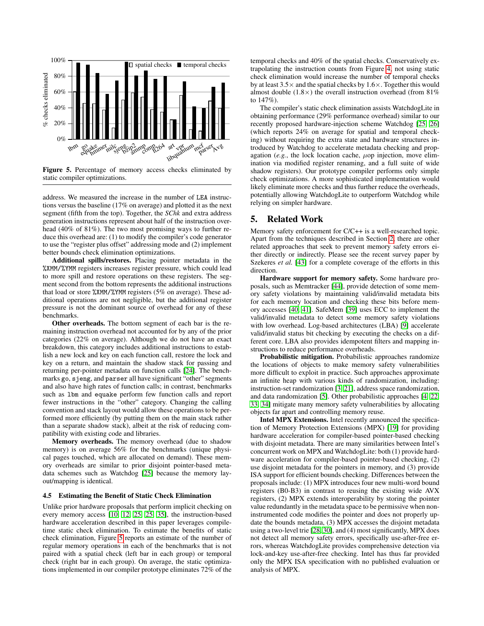

<span id="page-7-1"></span>Figure 5. Percentage of memory access checks eliminated by static compiler optimizations.

address. We measured the increase in the number of LEA instructions versus the baseline (17% on average) and plotted it as the next segment (fifth from the top). Together, the *SChk* and extra address generation instructions represent about half of the instruction overhead (40% of 81%). The two most promising ways to further reduce this overhead are: (1) to modify the compiler's code generator to use the "register plus offset" addressing mode and (2) implement better bounds check elimination optimizations.

Additional spills/restores. Placing pointer metadata in the %XMM/%YMM registers increases register pressure, which could lead to more spill and restore operations on these registers. The segment second from the bottom represents the additional instructions that load or store %XMM/%YMM registers (5% on average). These additional operations are not negligible, but the additional register pressure is not the dominant source of overhead for any of these benchmarks.

Other overheads. The bottom segment of each bar is the remaining instruction overhead not accounted for by any of the prior categories (22% on average). Although we do not have an exact breakdown, this category includes additional instructions to establish a new lock and key on each function call, restore the lock and key on a return, and maintain the shadow stack for passing and returning per-pointer metadata on function calls [\[24\]](#page-8-16). The benchmarks go, sjeng, and parser all have significant "other" segments and also have high rates of function calls; in contrast, benchmarks such as lbm and equake perform few function calls and report fewer instructions in the "other" category. Changing the calling convention and stack layout would allow these operations to be performed more efficiently (by putting them on the main stack rather than a separate shadow stack), albeit at the risk of reducing compatibility with existing code and libraries.

Memory overheads. The memory overhead (due to shadow memory) is on average 56% for the benchmarks (unique physical pages touched, which are allocated on demand). These memory overheads are similar to prior disjoint pointer-based metadata schemes such as Watchdog [\[25\]](#page-8-12) because the memory layout/mapping is identical.

#### 4.5 Estimating the Benefit of Static Check Elimination

Unlike prior hardware proposals that perform implicit checking on every memory access [\[10,](#page-8-10) [12,](#page-8-11) [25, 25,](#page-8-12) [35\]](#page-9-6), the instruction-based hardware acceleration described in this paper leverages compiletime static check elimination. To estimate the benefits of static check elimination, Figure [5](#page-7-1) reports an estimate of the number of regular memory operations in each of the benchmarks that is not paired with a spatial check (left bar in each group) or temporal check (right bar in each group). On average, the static optimizations implemented in our compiler prototype eliminates 72% of the temporal checks and 40% of the spatial checks. Conservatively extrapolating the instruction counts from Figure [4,](#page-6-2) not using static check elimination would increase the number of temporal checks by at least  $3.5\times$  and the spatial checks by  $1.6\times$ . Together this would almost double  $(1.8\times)$  the overall instruction overhead (from 81%) to 147%).

The compiler's static check elimination assists WatchdogLite in obtaining performance (29% performance overhead) similar to our recently proposed hardware-injection scheme Watchdog [\[25,](#page-8-12) [26\]](#page-8-22) (which reports 24% on average for spatial and temporal checking) without requiring the extra state and hardware structures introduced by Watchdog to accelerate metadata checking and propagation ( $e.g.,$  the lock location cache,  $\mu$ op injection, move elimination via modified register renaming, and a full suite of wide shadow registers). Our prototype compiler performs only simple check optimizations. A more sophisticated implementation would likely eliminate more checks and thus further reduce the overheads, potentially allowing WatchdogLite to outperform Watchdog while relying on simpler hardware.

## <span id="page-7-0"></span>5. Related Work

Memory safety enforcement for C/C++ is a well-researched topic. Apart from the techniques described in Section [2,](#page-1-0) there are other related approaches that seek to prevent memory safety errors either directly or indirectly. Please see the recent survey paper by Szekeres *et al.* [\[43\]](#page-9-7) for a complete coverage of the efforts in this direction.

Hardware support for memory safety. Some hardware proposals, such as Memtracker [\[44\]](#page-9-16), provide detection of some memory safety violations by maintaining valid/invalid metadata bits for each memory location and checking these bits before memory accesses [\[40,](#page-9-5) [41\]](#page-9-17). SafeMem [\[39\]](#page-9-18) uses ECC to implement the valid/invalid metadata to detect some memory safety violations with low overhead. Log-based architectures (LBA) [\[9\]](#page-8-4) accelerate valid/invalid status bit checking by executing the checks on a different core. LBA also provides idempotent filters and mapping instructions to reduce performance overheads.

Probabilistic mitigation. Probabilistic approaches randomize the locations of objects to make memory safety vulnerabilities more difficult to exploit in practice. Such approaches approximate an infinite heap with various kinds of randomization, including: instruction-set randomization [\[3,](#page-8-23) [21\]](#page-8-24), address space randomization, and data randomization [\[5\]](#page-8-25). Other probabilistic approaches [\[4,](#page-8-3) [22,](#page-8-26) [33,](#page-9-19) [34\]](#page-9-20) mitigate many memory safety vulnerabilities by allocating objects far apart and controlling memory reuse.

Intel MPX Extensions. Intel recently announced the specification of Memory Protection Extensions (MPX) [\[19\]](#page-8-14) for providing hardware acceleration for compiler-based pointer-based checking with disjoint metadata. There are many similarities between Intel's concurrent work on MPX and WatchdogLite: both (1) provide hardware acceleration for compiler-based pointer-based checking, (2) use disjoint metadata for the pointers in memory, and (3) provide ISA support for efficient bounds checking. Differences between the proposals include: (1) MPX introduces four new multi-word bound registers (B0-B3) in contrast to reusing the existing wide AVX registers, (2) MPX extends interoperability by storing the pointer value redundantly in the metadata space to be permissive when noninstrumented code modifies the pointer and does not properly update the bounds metadata, (3) MPX accesses the disjoint metadata using a two-level trie [\[28,](#page-9-9) [30\]](#page-9-12), and (4) most significantly, MPX does not detect all memory safety errors, specifically use-after-free errors, whereas WatchdogLite provides comprehensive detection via lock-and-key use-after-free checking. Intel has thus far provided only the MPX ISA specification with no published evaluation or analysis of MPX.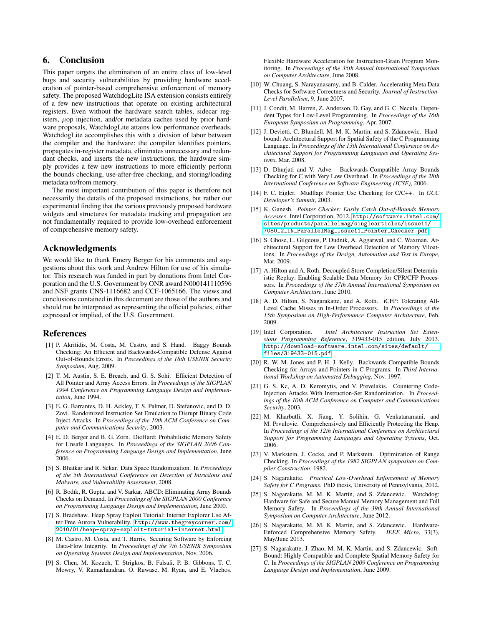# 6. Conclusion

This paper targets the elimination of an entire class of low-level bugs and security vulnerabilities by providing hardware acceleration of pointer-based comprehensive enforcement of memory safety. The proposed WatchdogLite ISA extension consists entirely of a few new instructions that operate on existing architectural registers. Even without the hardware search tables, sidecar registers,  $\mu$ op injection, and/or metadata caches used by prior hardware proposals, WatchdogLite attains low performance overheads. WatchdogLite accomplishes this with a division of labor between the compiler and the hardware: the compiler identifies pointers, propagates in-register metadata, eliminates unnecessary and redundant checks, and inserts the new instructions; the hardware simply provides a few new instructions to more efficiently perform the bounds checking, use-after-free checking, and storing/loading metadata to/from memory.

The most important contribution of this paper is therefore not necessarily the details of the proposed instructions, but rather our experimental finding that the various previously proposed hardware widgets and structures for metadata tracking and propagation are not fundamentally required to provide low-overhead enforcement of comprehensive memory safety.

## Acknowledgments

We would like to thank Emery Berger for his comments and suggestions about this work and Andrew Hilton for use of his simulator. This research was funded in part by donations from Intel Corporation and the U.S. Government by ONR award N000141110596 and NSF grants CNS-1116682 and CCF-1065166. The views and conclusions contained in this document are those of the authors and should not be interpreted as representing the official policies, either expressed or implied, of the U.S. Government.

## References

- <span id="page-8-1"></span>[1] P. Akritidis, M. Costa, M. Castro, and S. Hand. Baggy Bounds Checking: An Efficient and Backwards-Compatible Defense Against Out-of-Bounds Errors. In *Proceedings of the 18th USENIX Security Symposium*, Aug. 2009.
- <span id="page-8-2"></span>[2] T. M. Austin, S. E. Breach, and G. S. Sohi. Efficient Detection of All Pointer and Array Access Errors. In *Proceedings of the SIGPLAN 1994 Conference on Programming Language Design and Implementation*, June 1994.
- <span id="page-8-23"></span>[3] E. G. Barrantes, D. H. Ackley, T. S. Palmer, D. Stefanovic, and D. D. Zovi. Randomized Instruction Set Emulation to Disrupt Binary Code Inject Attacks. In *Proceedings of the 10th ACM Conference on Computer and Communications Security*, 2003.
- <span id="page-8-3"></span>[4] E. D. Berger and B. G. Zorn. DieHard: Probabilistic Memory Safety for Unsafe Languages. In *Proceedings of the SIGPLAN 2006 Conference on Programming Language Design and Implementation*, June 2006.
- <span id="page-8-25"></span>[5] S. Bhatkar and R. Sekar. Data Space Randomization. In *Proceedings of the 5th International Conference on Detection of Intrusions and Malware, and Vulnerability Assessment*, 2008.
- <span id="page-8-19"></span>[6] R. Bodík, R. Gupta, and V. Sarkar. ABCD: Eliminating Array Bounds Checks on Demand. In *Proceedings of the SIGPLAN 2000 Conference on Programming Language Design and Implementation*, June 2000.
- <span id="page-8-0"></span>[7] S. Bradshaw. Heap Spray Exploit Tutorial: Internet Explorer Use After Free Aurora Vulnerability. [http://www.thegreycorner.com/](http://www.thegreycorner.com/2010/01/heap-spray-exploit-tutorial-internet.html) [2010/01/heap-spray-exploit-tutorial-internet.html](http://www.thegreycorner.com/2010/01/heap-spray-exploit-tutorial-internet.html).
- <span id="page-8-7"></span>[8] M. Castro, M. Costa, and T. Harris. Securing Software by Enforcing Data-Flow Integrity. In *Proceedings of the 7th USENIX Symposium on Operating Systems Design and Implementation*, Nov. 2006.
- <span id="page-8-4"></span>[9] S. Chen, M. Kozuch, T. Strigkos, B. Falsafi, P. B. Gibbons, T. C. Mowry, V. Ramachandran, O. Ruwase, M. Ryan, and E. Vlachos.

Flexible Hardware Acceleration for Instruction-Grain Program Monitoring. In *Proceedings of the 35th Annual International Symposium on Computer Architecture*, June 2008.

- <span id="page-8-10"></span>[10] W. Chuang, S. Narayanasamy, and B. Calder. Accelerating Meta Data Checks for Software Correctness and Security. *Journal of Instruction-Level Parallelism*, 9, June 2007.
- <span id="page-8-8"></span>[11] J. Condit, M. Harren, Z. Anderson, D. Gay, and G. C. Necula. Dependent Types for Low-Level Programming. In *Proceedings of the 16th European Symposium on Programming*, Apr. 2007.
- <span id="page-8-11"></span>[12] J. Devietti, C. Blundell, M. M. K. Martin, and S. Zdancewic. Hardbound: Architectural Support for Spatial Safety of the C Programming Language. In *Proceedings of the 13th International Conference on Architectural Support for Programming Languages and Operating Systems*, Mar. 2008.
- <span id="page-8-9"></span>[13] D. Dhurjati and V. Adve. Backwards-Compatible Array Bounds Checking for C with Very Low Overhead. In *Proceedings of the 28th International Conference on Software Engineering (ICSE)*, 2006.
- <span id="page-8-5"></span>[14] F. C. Eigler. Mudflap: Pointer Use Checking for C/C++. In *GCC Developer's Summit*, 2003.
- <span id="page-8-13"></span>[15] K. Ganesh. *Pointer Checker: Easily Catch Out-of-Bounds Memory Accesses*. Intel Corporation, 2012. [http://software.intel.com/](http://software.intel.com/sites/products/parallelmag/singlearticles/issue11/7080_2_IN_ParallelMag_Issue11_Pointer_Checker.pdf) [sites/products/parallelmag/singlearticles/issue11/](http://software.intel.com/sites/products/parallelmag/singlearticles/issue11/7080_2_IN_ParallelMag_Issue11_Pointer_Checker.pdf) [7080\\_2\\_IN\\_ParallelMag\\_Issue11\\_Pointer\\_Checker.pdf](http://software.intel.com/sites/products/parallelmag/singlearticles/issue11/7080_2_IN_ParallelMag_Issue11_Pointer_Checker.pdf).
- <span id="page-8-15"></span>[16] S. Ghose, L. Gilgeous, P. Dudnik, A. Aggarwal, and C. Waxman. Architectural Support for Low Overhead Detection of Memory Viloations. In *Proceedings of the Design, Automation and Test in Europe*, Mar. 2009.
- <span id="page-8-20"></span>[17] A. Hilton and A. Roth. Decoupled Store Completion/Silent Deterministic Replay: Enabling Scalable Data Memory for CPR/CFP Processors. In *Proceedings of the 37th Annual International Symposium on Computer Architecture*, June 2010.
- <span id="page-8-21"></span>[18] A. D. Hilton, S. Nagarakatte, and A. Roth. iCFP: Tolerating All-Level Cache Misses in In-Order Processors. In *Proceedings of the 15th Symposium on High-Performance Computer Architecture*, Feb. 2009.
- <span id="page-8-14"></span>[19] Intel Corporation. *Intel Architecture Instruction Set Extensions Programming Reference*, 319433-015 edition, July 2013. [http://download-software.intel.com/sites/default/](http://download-software.intel.com/sites/default/files/319433-015.pdf) [files/319433-015.pdf](http://download-software.intel.com/sites/default/files/319433-015.pdf).
- <span id="page-8-17"></span>[20] R. W. M. Jones and P. H. J. Kelly. Backwards-Compatible Bounds Checking for Arrays and Pointers in C Programs. In *Third International Workshop on Automated Debugging*, Nov. 1997.
- <span id="page-8-24"></span>[21] G. S. Kc, A. D. Keromytis, and V. Prevelakis. Countering Code-Injection Attacks With Instruction-Set Randomization. In *Proceedings of the 10th ACM Conference on Computer and Communications Security*, 2003.
- <span id="page-8-26"></span>[22] M. Kharbutli, X. Jiang, Y. Solihin, G. Venkataramani, and M. Prvulovic. Comprehensively and Efficiently Protecting the Heap. In *Proceedings of the 12th International Conference on Architectural Support for Programming Languages and Operating Systems*, Oct. 2006.
- <span id="page-8-18"></span>[23] V. Markstein, J. Cocke, and P. Markstein. Optimization of Range Checking. In *Proceedings of the 1982 SIGPLAN symposium on Compiler Construction*, 1982.
- <span id="page-8-16"></span>[24] S. Nagarakatte. *Practical Low-Overhead Enforcement of Memory Safety for C Programs*. PhD thesis, University of Pennsylvania, 2012.
- <span id="page-8-12"></span>[25] S. Nagarakatte, M. M. K. Martin, and S. Zdancewic. Watchdog: Hardware for Safe and Secure Manual Memory Management and Full Memory Safety. In *Proceedings of the 39th Annual International Symposium on Computer Architecture*, June 2012.
- <span id="page-8-22"></span>[26] S. Nagarakatte, M. M. K. Martin, and S. Zdancewic. Hardware-Enforced Comprehensive Memory Safety. *IEEE Micro*, 33(3), May/June 2013.
- <span id="page-8-6"></span>[27] S. Nagarakatte, J. Zhao, M. M. K. Martin, and S. Zdancewic. Soft-Bound: Highly Compatible and Complete Spatial Memory Safety for C. In *Proceedings of the SIGPLAN 2009 Conference on Programming Language Design and Implementation*, June 2009.